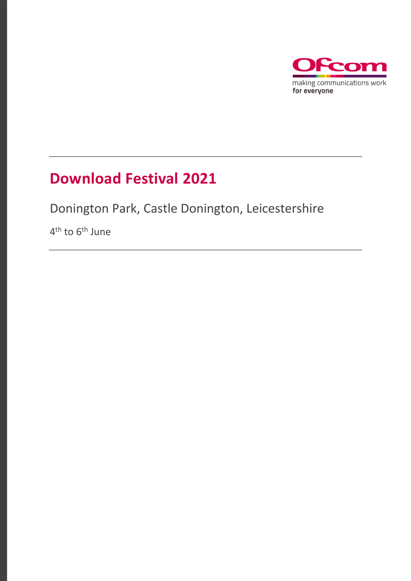

### **Download Festival 2021**

Donington Park, Castle Donington, Leicestershire

4<sup>th</sup> to 6<sup>th</sup> June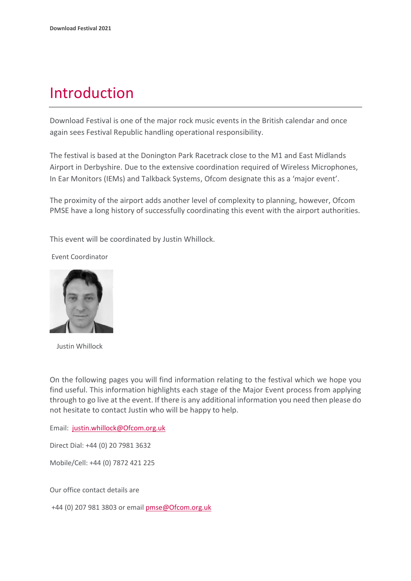### Introduction

Download Festival is one of the major rock music events in the British calendar and once again sees Festival Republic handling operational responsibility.

The festival is based at the Donington Park Racetrack close to the M1 and East Midlands Airport in Derbyshire. Due to the extensive coordination required of Wireless Microphones, In Ear Monitors (IEMs) and Talkback Systems, Ofcom designate this as a 'major event'.

The proximity of the airport adds another level of complexity to planning, however, Ofcom PMSE have a long history of successfully coordinating this event with the airport authorities.

This event will be coordinated by Justin Whillock.

Event Coordinator



Justin Whillock

On the following pages you will find information relating to the festival which we hope you find useful. This information highlights each stage of the Major Event process from applying through to go live at the event. If there is any additional information you need then please do not hesitate to contact Justin who will be happy to help.

Email: [justin.whillock@Ofcom.org.uk](mailto:justin.whillock@Ofcom.org.uk)

Direct Dial: +44 (0) 20 7981 3632

Mobile/Cell: +44 (0) 7872 421 225

Our office contact details are

+44 (0) 207 981 3803 or emai[l pmse@Ofcom.org.uk](mailto:pmse@arqiva.com)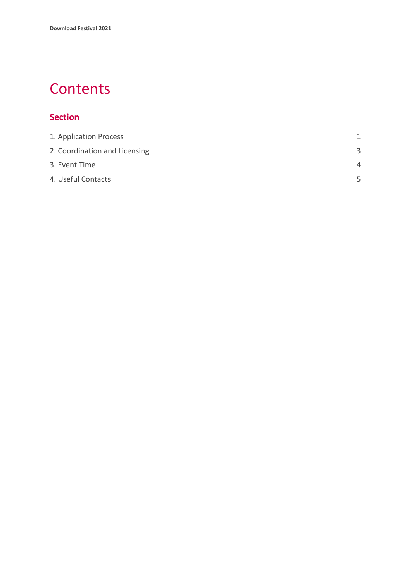### **Contents**

#### **Section**

| 1. Application Process        | 1        |
|-------------------------------|----------|
| 2. Coordination and Licensing | 3        |
| 3. Event Time                 | $\Delta$ |
| 4. Useful Contacts            | 5        |
|                               |          |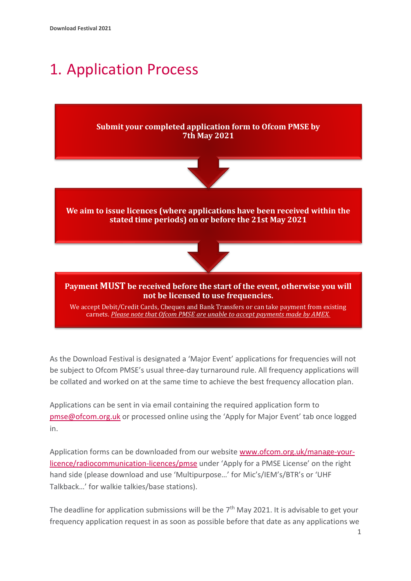## <span id="page-3-0"></span>1. Application Process



As the Download Festival is designated a 'Major Event' applications for frequencies will not be subject to Ofcom PMSE's usual three-day turnaround rule. All frequency applications will be collated and worked on at the same time to achieve the best frequency allocation plan.

Applications can be sent in via email containing the required application form to [pmse@ofcom.org.uk](mailto:pmse@ofcom.org.uk) or processed online using the 'Apply for Major Event' tab once logged in.

Application forms can be downloaded from our website [www.ofcom.org.uk/manage-your](http://www.ofcom.org.uk/manage-your-licence/radiocommunication-licences/pmse)[licence/radiocommunication-licences/pmse](http://www.ofcom.org.uk/manage-your-licence/radiocommunication-licences/pmse) under 'Apply for a PMSE License' on the right hand side (please download and use 'Multipurpose…' for Mic's/IEM's/BTR's or 'UHF Talkback…' for walkie talkies/base stations).

The deadline for application submissions will be the 7<sup>th</sup> May 2021. It is advisable to get your frequency application request in as soon as possible before that date as any applications we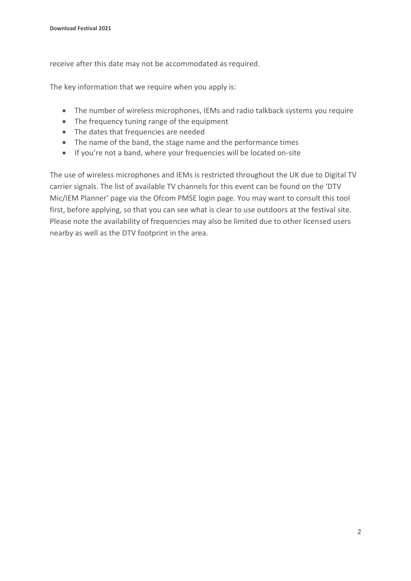receive after this date may not be accommodated as required.

The key information that we require when you apply is:

- The number of wireless microphones, IEMs and radio talkback systems you require
- The frequency tuning range of the equipment
- The dates that frequencies are needed
- The name of the band, the stage name and the performance times
- If you're not a band, where your frequencies will be located on-site

The use of wireless microphones and IEMs is restricted throughout the UK due to Digital TV carrier signals. The list of available TV channels for this event can be found on the 'DTV Mic/IEM Planner' page via the Ofcom PMSE login page. You may want to consult this tool first, before applying, so that you can see what is clear to use outdoors at the festival site. Please note the availability of frequencies may also be limited due to other licensed users nearby as well as the DTV footprint in the area.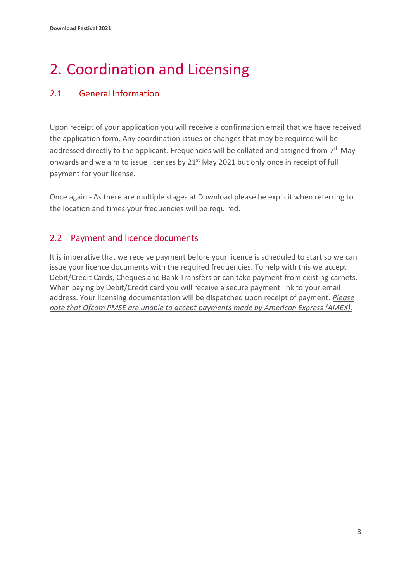# <span id="page-5-0"></span>2. Coordination and Licensing

#### 2.1 General Information

Upon receipt of your application you will receive a confirmation email that we have received the application form. Any coordination issues or changes that may be required will be addressed directly to the applicant. Frequencies will be collated and assigned from 7<sup>th</sup> May onwards and we aim to issue licenses by 21<sup>st</sup> May 2021 but only once in receipt of full payment for your license.

Once again - As there are multiple stages at Download please be explicit when referring to the location and times your frequencies will be required.

#### 2.2 Payment and licence documents

It is imperative that we receive payment before your licence is scheduled to start so we can issue your licence documents with the required frequencies. To help with this we accept Debit/Credit Cards, Cheques and Bank Transfers or can take payment from existing carnets. When paying by Debit/Credit card you will receive a secure payment link to your email address. Your licensing documentation will be dispatched upon receipt of payment. *Please note that Ofcom PMSE are unable to accept payments made by American Express (AMEX).*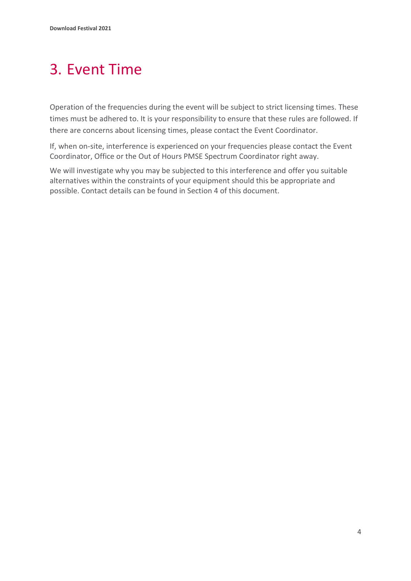### <span id="page-6-0"></span>3. Event Time

Operation of the frequencies during the event will be subject to strict licensing times. These times must be adhered to. It is your responsibility to ensure that these rules are followed. If there are concerns about licensing times, please contact the Event Coordinator.

If, when on-site, interference is experienced on your frequencies please contact the Event Coordinator, Office or the Out of Hours PMSE Spectrum Coordinator right away.

We will investigate why you may be subjected to this interference and offer you suitable alternatives within the constraints of your equipment should this be appropriate and possible. Contact details can be found in Section 4 of this document.